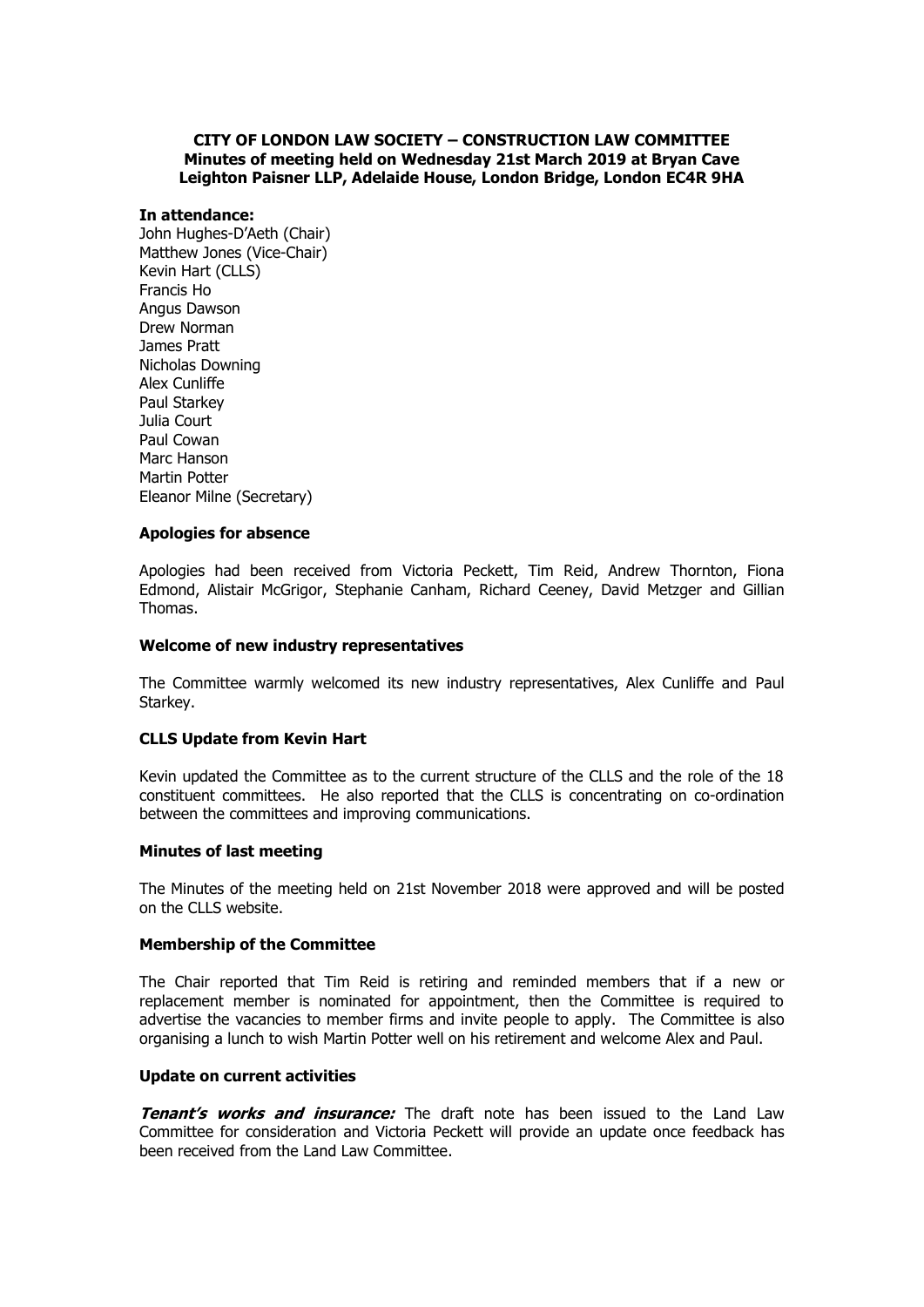# **CITY OF LONDON LAW SOCIETY – CONSTRUCTION LAW COMMITTEE Minutes of meeting held on Wednesday 21st March 2019 at Bryan Cave Leighton Paisner LLP, Adelaide House, London Bridge, London EC4R 9HA**

# **In attendance:**

John Hughes-D'Aeth (Chair) Matthew Jones (Vice-Chair) Kevin Hart (CLLS) Francis Ho Angus Dawson Drew Norman James Pratt Nicholas Downing Alex Cunliffe Paul Starkey Julia Court Paul Cowan Marc Hanson Martin Potter Eleanor Milne (Secretary)

### **Apologies for absence**

Apologies had been received from Victoria Peckett, Tim Reid, Andrew Thornton, Fiona Edmond, Alistair McGrigor, Stephanie Canham, Richard Ceeney, David Metzger and Gillian Thomas.

### **Welcome of new industry representatives**

The Committee warmly welcomed its new industry representatives, Alex Cunliffe and Paul Starkey.

# **CLLS Update from Kevin Hart**

Kevin updated the Committee as to the current structure of the CLLS and the role of the 18 constituent committees. He also reported that the CLLS is concentrating on co-ordination between the committees and improving communications.

#### **Minutes of last meeting**

The Minutes of the meeting held on 21st November 2018 were approved and will be posted on the CLLS website.

#### **Membership of the Committee**

The Chair reported that Tim Reid is retiring and reminded members that if a new or replacement member is nominated for appointment, then the Committee is required to advertise the vacancies to member firms and invite people to apply. The Committee is also organising a lunch to wish Martin Potter well on his retirement and welcome Alex and Paul.

### **Update on current activities**

**Tenant's works and insurance:** The draft note has been issued to the Land Law Committee for consideration and Victoria Peckett will provide an update once feedback has been received from the Land Law Committee.